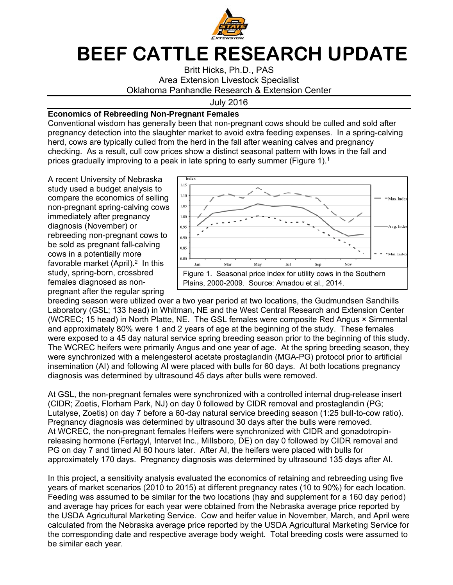

## **BEEF CATTLE RESEARCH UPDATE**

Britt Hicks, Ph.D., PAS Area Extension Livestock Specialist Oklahoma Panhandle Research & Extension Center

July 2016

## **Economics of Rebreeding Non-Pregnant Females**

Conventional wisdom has generally been that non-pregnant cows should be culled and sold after pregnancy detection into the slaughter market to avoid extra feeding expenses. In a spring-calving herd, cows are typically culled from the herd in the fall after weaning calves and pregnancy checking. As a result, cull cow prices show a distinct seasonal pattern with lows in the fall and prices gradually improving to a peak in late spring to early summer (Figure 1).<sup>1</sup>

A recent University of Nebraska study used a budget analysis to compare the economics of selling non-pregnant spring-calving cows immediately after pregnancy diagnosis (November) or rebreeding non-pregnant cows to be sold as pregnant fall-calving cows in a potentially more favorable market (April).<sup>2</sup> In this study, spring-born, crossbred females diagnosed as nonpregnant after the regular spring



breeding season were utilized over a two year period at two locations, the Gudmundsen Sandhills Laboratory (GSL; 133 head) in Whitman, NE and the West Central Research and Extension Center (WCREC; 15 head) in North Platte, NE. The GSL females were composite Red Angus × Simmental and approximately 80% were 1 and 2 years of age at the beginning of the study. These females were exposed to a 45 day natural service spring breeding season prior to the beginning of this study. The WCREC heifers were primarily Angus and one year of age. At the spring breeding season, they were synchronized with a melengesterol acetate prostaglandin (MGA-PG) protocol prior to artificial insemination (AI) and following AI were placed with bulls for 60 days. At both locations pregnancy diagnosis was determined by ultrasound 45 days after bulls were removed.

At GSL, the non-pregnant females were synchronized with a controlled internal drug-release insert (CIDR; Zoetis, Florham Park, NJ) on day 0 followed by CIDR removal and prostaglandin (PG; Lutalyse, Zoetis) on day 7 before a 60-day natural service breeding season (1:25 bull-to-cow ratio). Pregnancy diagnosis was determined by ultrasound 30 days after the bulls were removed. At WCREC, the non-pregnant females Heifers were synchronized with CIDR and gonadotropinreleasing hormone (Fertagyl, Intervet Inc., Millsboro, DE) on day 0 followed by CIDR removal and PG on day 7 and timed AI 60 hours later. After AI, the heifers were placed with bulls for approximately 170 days. Pregnancy diagnosis was determined by ultrasound 135 days after AI.

In this project, a sensitivity analysis evaluated the economics of retaining and rebreeding using five years of market scenarios (2010 to 2015) at different pregnancy rates (10 to 90%) for each location. Feeding was assumed to be similar for the two locations (hay and supplement for a 160 day period) and average hay prices for each year were obtained from the Nebraska average price reported by the USDA Agricultural Marketing Service. Cow and heifer value in November, March, and April were calculated from the Nebraska average price reported by the USDA Agricultural Marketing Service for the corresponding date and respective average body weight. Total breeding costs were assumed to be similar each year.